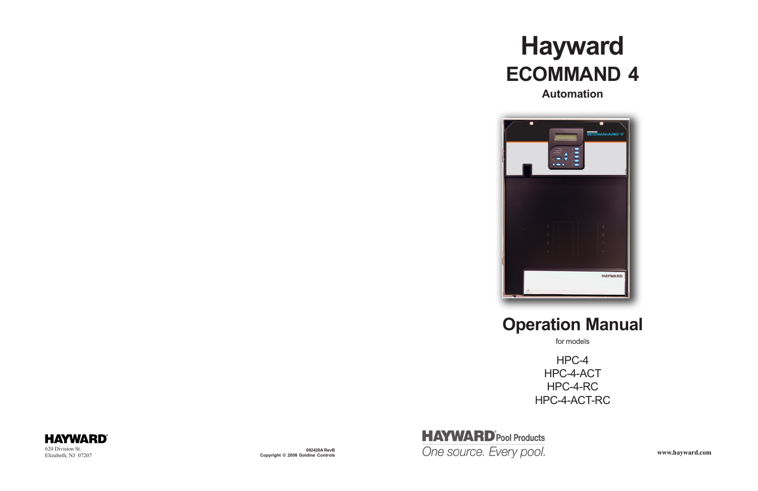

**Copyright © 2008 Goldine Controls**



# **Hayward ECOMMAND 4**





## **Automation**

# **Operation Manual**

HPC-4 HPC-4-ACT HPC-4-RC HPC-4-ACT-RC

for models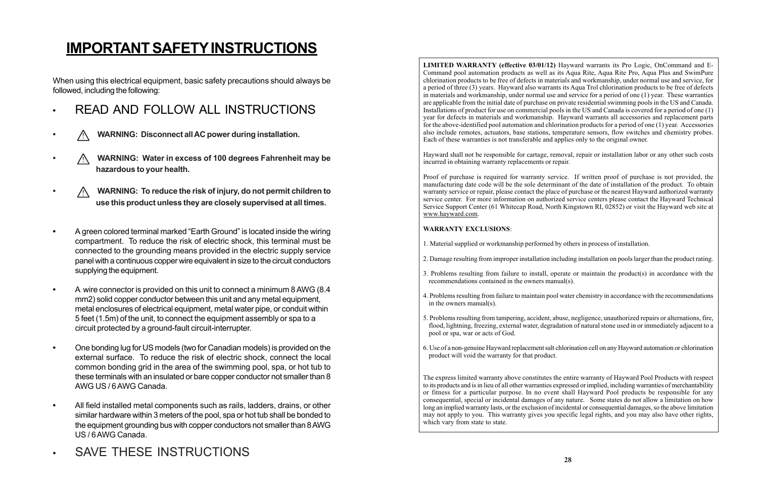# **IMPORTANT SAFETY INSTRUCTIONS**

When using this electrical equipment, basic safety precautions should always be followed, including the following:

- **•** READ AND FOLLOW ALL INSTRUCTIONS
- **•** ! **WARNING: Disconnect all AC power during installation.**
- **•** ! **WARNING: Water in excess of 100 degrees Fahrenheit may be hazardous to your health.**
- **•** ! **WARNING: To reduce the risk of injury, do not permit children to use this product unless they are closely supervised at all times.**
- **•** A green colored terminal marked "Earth Ground" is located inside the wiring compartment. To reduce the risk of electric shock, this terminal must be connected to the grounding means provided in the electric supply service panel with a continuous copper wire equivalent in size to the circuit conductors supplying the equipment.
- **•** A wire connector is provided on this unit to connect a minimum 8 AWG (8.4 mm2) solid copper conductor between this unit and any metal equipment, metal enclosures of electrical equipment, metal water pipe, or conduit within 5 feet (1.5m) of the unit, to connect the equipment assembly or spa to a circuit protected by a ground-fault circuit-interrupter.
- **•** One bonding lug for US models (two for Canadian models) is provided on the external surface. To reduce the risk of electric shock, connect the local common bonding grid in the area of the swimming pool, spa, or hot tub to these terminals with an insulated or bare copper conductor not smaller than 8 AWG US / 6 AWG Canada.
- **•** All field installed metal components such as rails, ladders, drains, or other similar hardware within 3 meters of the pool, spa or hot tub shall be bonded to the equipment grounding bus with copper conductors not smaller than 8 AWG US / 6 AWG Canada.
- **•** SAVE THESE INSTRUCTIONS

The express limited warranty above constitutes the entire warranty of Hayward Pool Products with respect to its products and is in lieu of all other warranties expressed or implied, including warranties of merchantability or fitness for a particular purpose. In no event shall Hayward Pool products be responsible for any consequential, special or incidental damages of any nature. Some states do not allow a limitation on how long an implied warranty lasts, or the exclusion of incidental or consequential damages, so the above limitation may not apply to you. This warranty gives you specific legal rights, and you may also have other rights, which vary from state to state.

**LIMITED WARRANTY (effective 03/01/12)** Hayward warrants its Pro Logic, OnCommand and E-Command pool automation products as well as its Aqua Rite, Aqua Rite Pro, Aqua Plus and SwimPure chlorination products to be free of defects in materials and workmanship, under normal use and service, for a period of three (3) years. Hayward also warrants its Aqua Trol chlorination products to be free of defects in materials and workmanship, under normal use and service for a period of one (1) year. These warranties are applicable from the initial date of purchase on private residential swimming pools in the US and Canada. Installations of product for use on commercial pools in the US and Canada is covered for a period of one (1) year for defects in materials and workmanship. Hayward warrants all accessories and replacement parts for the above-identified pool automation and chlorination products for a period of one (1) year. Accessories also include remotes, actuators, base stations, temperature sensors, flow switches and chemistry probes. Each of these warranties is not transferable and applies only to the original owner.

Hayward shall not be responsible for cartage, removal, repair or installation labor or any other such costs incurred in obtaining warranty replacements or repair.

Proof of purchase is required for warranty service. If written proof of purchase is not provided, the manufacturing date code will be the sole determinant of the date of installation of the product. To obtain warranty service or repair, please contact the place of purchase or the nearest Hayward authorized warranty service center. For more information on authorized service centers please contact the Hayward Technical Service Support Center (61 Whitecap Road, North Kingstown RI, 02852) or visit the Hayward web site at www.hayward.com.

### **WARRANTY EXCLUSIONS**:

1. Material supplied or workmanship performed by others in process of installation.

2. Damage resulting from improper installation including installation on pools larger than the product rating.

3. Problems resulting from failure to install, operate or maintain the product(s) in accordance with the

4. Problems resulting from failure to maintain pool water chemistry in accordance with the recommendations

5. Problems resulting from tampering, accident, abuse, negligence, unauthorized repairs or alternations, fire, flood, lightning, freezing, external water, degradation of natural stone used in or immediately adjacent to a

- 
- recommendations contained in the owners manual(s).
- in the owners manual(s).
- pool or spa, war or acts of God.
- product will void the warranty for that product.

6. Use of a non-genuine Hayward replacement salt chlorination cell on any Hayward automation or chlorination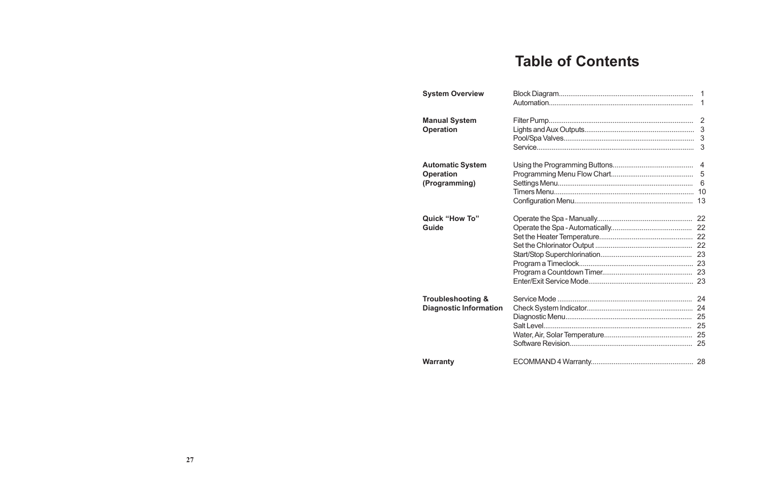# **Table of Contents**

| <b>System Overview</b>        | $\mathbf 1$     |
|-------------------------------|-----------------|
|                               |                 |
| <b>Manual System</b>          | $\overline{2}$  |
| <b>Operation</b>              |                 |
|                               | 3               |
|                               | 3               |
| <b>Automatic System</b>       | $\overline{4}$  |
| <b>Operation</b>              | 5               |
| (Programming)                 | $6\phantom{1}6$ |
|                               | 10              |
|                               | 13              |
| <b>Quick "How To"</b>         |                 |
| <b>Guide</b>                  |                 |
|                               |                 |
|                               |                 |
|                               |                 |
|                               |                 |
|                               |                 |
|                               |                 |
| <b>Troubleshooting &amp;</b>  |                 |
| <b>Diagnostic Information</b> |                 |
|                               |                 |
|                               |                 |
|                               |                 |
|                               |                 |
| <b>Warranty</b>               |                 |
|                               |                 |

27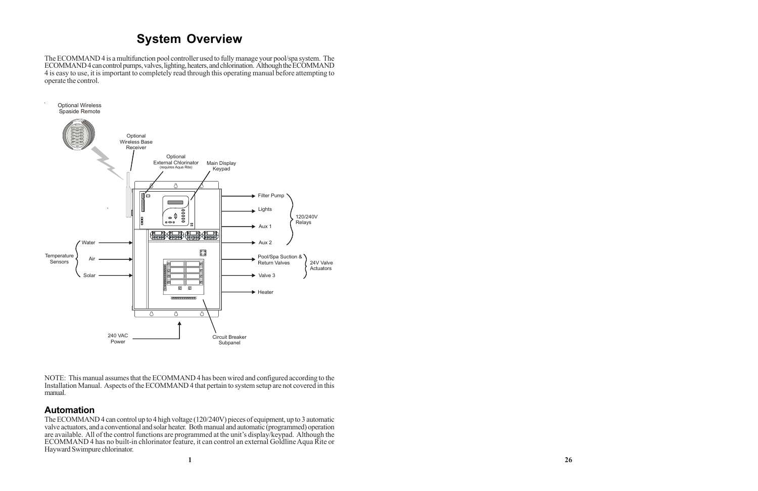## **System Overview**

The ECOMMAND 4 is a multifunction pool controller used to fully manage your pool/spa system. The ECOMMAND 4 can control pumps, valves, lighting, heaters, and chlorination. Although the ECOMMAND 4 is easy to use, it is important to completely read through this operating manual before attempting to operate the control.

NOTE: This manual assumes that the ECOMMAND 4 has been wired and configured according to the Installation Manual. Aspects of the ECOMMAND 4 that pertain to system setup are not covered in this manual.

### **Automation**

The ECOMMAND 4 can control up to 4 high voltage (120/240V) pieces of equipment, up to 3 automatic valve actuators, and a conventional and solar heater. Both manual and automatic (programmed) operation are available. All of the control functions are programmed at the unit's display/keypad. Although the ECOMMAND 4 has no built-in chlorinator feature, it can control an external Goldline Aqua Rite or Hayward Swimpure chlorinator.

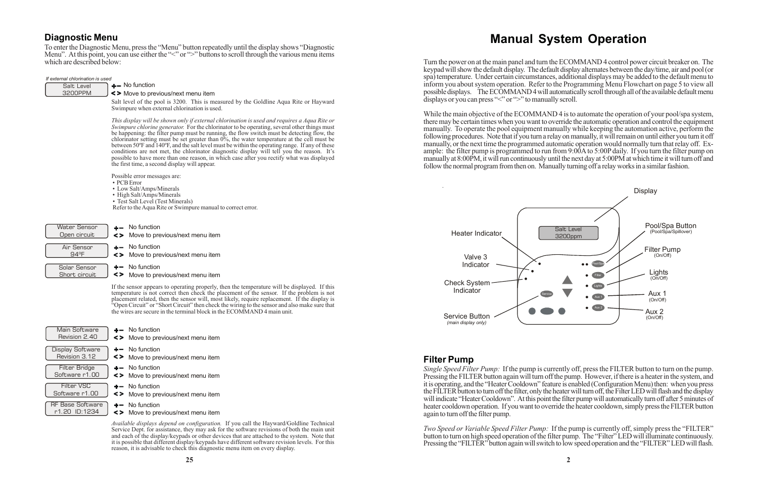Turn the power on at the main panel and turn the ECOMMAND 4 control power circuit breaker on. The keypad will show the default display. The default display alternates between the day/time, air and pool (or spa) temperature. Under certain circumstances, additional displays may be added to the default menu to inform you about system operation. Refer to the Programming Menu Flowchart on page 5 to view all possible displays. The ECOMMAND 4 will automatically scroll through all of the available default menu displays or you can press " $\leq$ " or " $\geq$ " to manually scroll.

## **Manual System Operation**

While the main objective of the ECOMMAND 4 is to automate the operation of your pool/spa system, there may be certain times when you want to override the automatic operation and control the equipment manually. To operate the pool equipment manually while keeping the automation active, perform the following procedures. Note that if you turn a relay on manually, it will remain on until either you turn it off manually, or the next time the programmed automatic operation would normally turn that relay off. Example: the filter pump is programmed to run from 9:00A to 5:00P daily. If you turn the filter pump on manually at 8:00PM, it will run continuously until the next day at 5:00PM at which time it will turn off and follow the normal program from then on. Manually turning off a relay works in a similar fashion.

*Two Speed or Variable Speed Filter Pump:* If the pump is currently off, simply press the "FILTER" button to turn on high speed operation of the filter pump. The "Filter" LED will illuminate continuously. Pressing the "FILTER" button again will switch to low speed operation and the "FILTER" LED will flash.

## **Filter Pump**

### $+$  No function *If external chlorination is used*

*Single Speed Filter Pump:* If the pump is currently off, press the FILTER button to turn on the pump. Pressing the FILTER button again will turn off the pump. However, if there is a heater in the system, and it is operating, and the "Heater Cooldown" feature is enabled (Configuration Menu) then: when you press the FILTER button to turn off the filter, only the heater will turn off, the Filter LED will flash and the display will indicate "Heater Cooldown". At this point the filter pump will automatically turn off after 5 minutes of heater cooldown operation. If you want to override the heater cooldown, simply press the FILTER button again to turn off the filter pump.



- $\div$  No function
- Move to previous/next menu item
- $+-$  No function
- Move to previous/next menu item
- $+$  No function
- Move to previous/next menu item
- $+-$  No function
- Move to previous/next menu item
- $+-$  No function
- Move to previous/next menu item

## **Diagnostic Menu**

To enter the Diagnostic Menu, press the "Menu" button repeatedly until the display shows "Diagnostic Menu". At this point, you can use either the "<" or ">" buttons to scroll through the various menu items which are described below:

| Salt Level |  |
|------------|--|
| 3200PPM    |  |

### K> Move to previous/next menu item

Salt level of the pool is 3200. This is measured by the Goldline Aqua Rite or Hayward Swimpure when external chlorination is used.

*This display will be shown only if external chlorination is used and requires a Aqua Rite or Swimpure chlorine generator.* For the chlorinator to be operating, several other things must be happening: the filter pump must be running, the flow switch must be detecting flow, the chlorinator setting must be set greater than 0%, the water temperature at the cell must be between 50ºF and 140ºF, and the salt level must be within the operating range. If any of these conditions are not met, the chlorinator diagnostic display will tell you the reason. It's possible to have more than one reason, in which case after you rectify what was displayed the first time, a second display will appear.

Possible error messages are:

- PCB Error
- Low Salt/Amps/Minerals
- High Salt/Amps/Minerals
- Test Salt Level (Test Minerals)

Refer to the Aqua Rite or Swimpure manual to correct error.

Short circuit

| <b>Water Sensor</b><br>Open circuit    | $\leftarrow$ No function<br><> Move to previous/next menu item |
|----------------------------------------|----------------------------------------------------------------|
| Air Sensor<br>$Q\Delta$ <sup>O</sup> F | $\leftarrow$ No function<br><> Move to previous/next menu item |
| Solar Sensor                           | $+$ No function                                                |

Move to previous/next menu item

If the sensor appears to operating properly, then the temperature will be displayed. If this temperature is not correct then check the placement of the sensor. If the problem is not placement related, then the sensor will, most likely, require replacement. If the display is "Open Circuit" or "Short Circuit" then check the wiring to the sensor and also make sure that the wires are secure in the terminal block in the ECOMMAND 4 main unit.

Main Software Revision 2.40 Display Software Revision 3.12

Filter VSC Software r1.00 RF Base Software

Filter Bridge Software r1.00

r1.20 ID:1234

*Available displays depend on configuration.* If you call the Hayward/Goldline Technical Service Dept. for assistance, they may ask for the software revisions of both the main unit and each of the display/keypads or other devices that are attached to the system. Note that it is possible that different display/keypads have different software revision levels. For this reason, it is advisable to check this diagnostic menu item on every display.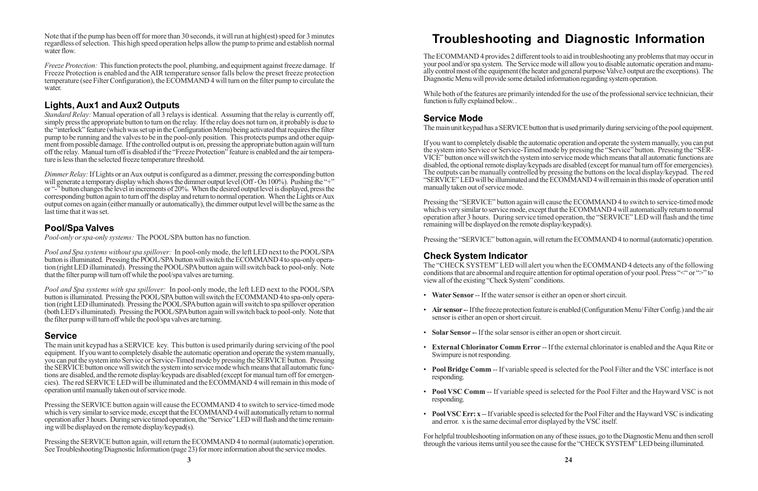Note that if the pump has been off for more than 30 seconds, it will run at high(est) speed for 3 minutes regardless of selection. This high speed operation helps allow the pump to prime and establish normal water flow.

*Freeze Protection:* This function protects the pool, plumbing, and equipment against freeze damage. If Freeze Protection is enabled and the AIR temperature sensor falls below the preset freeze protection temperature (see Filter Configuration), the ECOMMAND 4 will turn on the filter pump to circulate the water.

## **Lights, Aux1 and Aux2 Outputs**

*Standard Relay:* Manual operation of all 3 relays is identical. Assuming that the relay is currently off, simply press the appropriate button to turn on the relay. If the relay does not turn on, it probably is due to the "interlock" feature (which was set up in the Configuration Menu) being activated that requires the filter pump to be running and the valves to be in the pool-only position. This protects pumps and other equipment from possible damage. If the controlled output is on, pressing the appropriate button again will turn off the relay. Manual turn off is disabled if the "Freeze Protection" feature is enabled and the air temperature is less than the selected freeze temperature threshold.

*Dimmer Relay:* If Lights or an Aux output is configured as a dimmer, pressing the corresponding button will generate a temporary display which shows the dimmer output level (Off - On 100%). Pushing the "+" or "-" button changes the level in increments of 20%. When the desired output level is displayed, press the corresponding button again to turn off the display and return to normal operation. When the Lights or Aux output comes on again (either manually or automatically), the dimmer output level will be the same as the last time that it was set.

## **Pool/Spa Valves**

*Pool-only or spa-only systems:* The POOL/SPA button has no function.

Pressing the SERVICE button again, will return the ECOMMAND 4 to normal (automatic) operation. See Troubleshooting/Diagnostic Information (page 23) for more information about the service modes.

*Pool and Spa systems without spa spillover:* In pool-only mode, the left LED next to the POOL/SPA button is illuminated. Pressing the POOL/SPA button will switch the ECOMMAND 4 to spa-only operation (right LED illuminated). Pressing the POOL/SPA button again will switch back to pool-only. Note that the filter pump will turn off while the pool/spa valves are turning.

*Pool and Spa systems with spa spillover:* In pool-only mode, the left LED next to the POOL/SPA button is illuminated. Pressing the POOL/SPA button will switch the ECOMMAND 4 to spa-only operation (right LED illuminated). Pressing the POOL/SPA button again will switch to spa spillover operation (both LED's illuminated). Pressing the POOL/SPA button again will switch back to pool-only. Note that the filter pump will turn off while the pool/spa valves are turning.

## **Service**

The main unit keypad has a SERVICE key. This button is used primarily during servicing of the pool equipment. If you want to completely disable the automatic operation and operate the system manually, you can put the system into Service or Service-Timed mode by pressing the SERVICE button. Pressing the SERVICE button once will switch the system into service mode which means that all automatic functions are disabled, and the remote display/keypads are disabled (except for manual turn off for emergencies). The red SERVICE LED will be illuminated and the ECOMMAND 4 will remain in this mode of operation until manually taken out of service mode.

Pressing the SERVICE button again will cause the ECOMMAND 4 to switch to service-timed mode which is very similar to service mode, except that the ECOMMAND 4 will automatically return to normal operation after 3 hours. During service timed operation, the "Service" LED will flash and the time remaining will be displayed on the remote display/keypad(s).

# **Troubleshooting and Diagnostic Information**

The ECOMMAND 4 provides 2 different tools to aid in troubleshooting any problems that may occur in your pool and/or spa system. The Service mode will allow you to disable automatic operation and manually control most of the equipment (the heater and general purpose Valve3 output are the exceptions). The Diagnostic Menu will provide some detailed information regarding system operation.

While both of the features are primarily intended for the use of the professional service technician, their function is fully explained below. .

## **Service Mode**

The main unit keypad has a SERVICE button that is used primarily during servicing of the pool equipment.

If you want to completely disable the automatic operation and operate the system manually, you can put the system into Service or Service-Timed mode by pressing the "Service" button. Pressing the "SER-VICE" button once will switch the system into service mode which means that all automatic functions are disabled, the optional remote display/keypads are disabled (except for manual turn off for emergencies). The outputs can be manually controlled by pressing the buttons on the local display/keypad. The red "SERVICE" LED will be illuminated and the ECOMMAND 4 will remain in this mode of operation until manually taken out of service mode.

Pressing the "SERVICE" button again will cause the ECOMMAND 4 to switch to service-timed mode which is very similar to service mode, except that the ECOMMAND 4 will automatically return to normal operation after 3 hours. During service timed operation, the "SERVICE" LED will flash and the time remaining will be displayed on the remote display/keypad(s).

Pressing the "SERVICE" button again, will return the ECOMMAND 4 to normal (automatic) operation.

## **Check System Indicator**

The "CHECK SYSTEM" LED will alert you when the ECOMMAND 4 detects any of the following conditions that are abnormal and require attention for optimal operation of your pool. Press "<" or ">" to view all of the existing "Check System" conditions.

• **Air sensor -**- If the freeze protection feature is enabled (Configuration Menu/ Filter Config.) and the air

• **External Chlorinator Comm Error** -- If the external chlorinator is enabled and the Aqua Rite or

- **Water Sensor** -- If the water sensor is either an open or short circuit.
- sensor is either an open or short circuit.
- **Solar Sensor -** If the solar sensor is either an open or short circuit.
- Swimpure is not responding.
- responding.
- responding.
- and error. x is the same decimal error displayed by the VSC itself.

• **Pool Bridge Comm** -- If variable speed is selected for the Pool Filter and the VSC interface is not

• **Pool VSC Comm** -- If variable speed is selected for the Pool Filter and the Hayward VSC is not

• **Pool VSC Err: x** -- If variable speed is selected for the Pool Filter and the Hayward VSC is indicating

For helpful troubleshooting information on any of these issues, go to the Diagnostic Menu and then scroll through the various items until you see the cause for the "CHECK SYSTEM" LED being illuminated.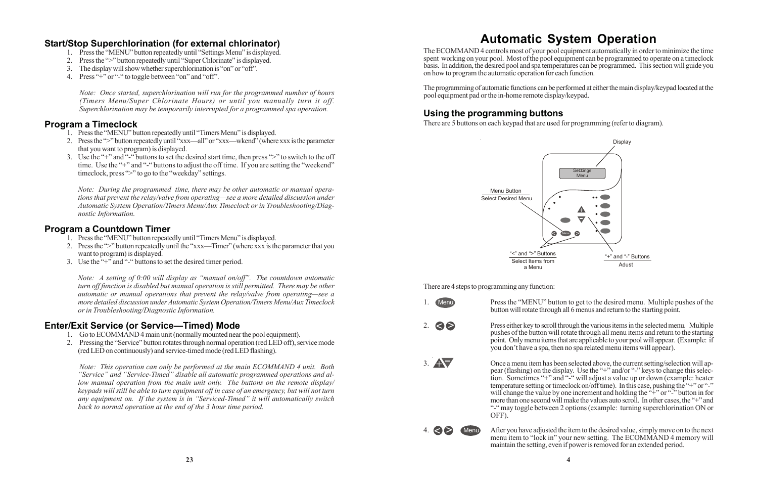# **Automatic System Operation**

The ECOMMAND 4 controls most of your pool equipment automatically in order to minimize the time spent working on your pool. Most of the pool equipment can be programmed to operate on a timeclock basis. In addition, the desired pool and spa temperatures can be programmed. This section will guide you on how to program the automatic operation for each function.

The programming of automatic functions can be performed at either the main display/keypad located at the pool equipment pad or the in-home remote display/keypad.

## **Using the programming buttons**

There are 5 buttons on each keypad that are used for programming (refer to diagram).

There are 4 steps to programming any function:

1. Menu Press the "MENU" button to get to the desired menu. Multiple pushes of the button will rotate through all 6 menus and return to the starting point.



> Press either key to scroll through the various items in the selected menu. Multiple pushes of the button will rotate through all menu items and return to the starting point. Only menu items that are applicable to your pool will appear. (Example: if you don't have a spa, then no spa related menu items will appear).

- 1. Press the "MENU" button repeatedly until "Timers Menu" is displayed.
- 2. Press the ">" button repeatedly until "xxx—all" or "xxx—wkend" (where xxx is the parameter that you want to program) is displayed.
- 3. Use the "+" and "-" buttons to set the desired start time, then press ">" to switch to the off time. Use the "+" and "-" buttons to adjust the off time. If you are setting the "weekend" timeclock, press ">" to go to the "weekday" settings.

3. Once a menu item has been selected above, the current setting/selection will appear (flashing) on the display. Use the "+" and/or "-" keys to change this selection. Sometimes "+" and "-" will adjust a value up or down (example: heater temperature setting or timeclock on/off time). In this case, pushing the "+" or "-" will change the value by one increment and holding the  $4^{\circ}$  or  $4^{\circ}$  button in for more than one second will make the values auto scroll. In other cases, the "+" and "-" may toggle between 2 options (example: turning superchlorination ON or OFF).

- 1. Press the "MENU" button repeatedly until "Timers Menu" is displayed.
- 2. Press the ">" button repeatedly until the "xxx—Timer" (where xxx is the parameter that you want to program) is displayed.
- 3. Use the  $``+"$  and "-" buttons to set the desired timer period.

> Menu After you have adjusted the item to the desired value, simply move on to the next menu item to "lock in" your new setting. The ECOMMAND 4 memory will maintain the setting, even if power is removed for an extended period.



4.  $\Leftrightarrow$   $\triangleright$ 





Select Items from a Menu "<" and ">" Buttons

## **Start/Stop Superchlorination (for external chlorinator)**

- 1. Press the "MENU" button repeatedly until "Settings Menu" is displayed.
- 2. Press the ">" button repeatedly until "Super Chlorinate" is displayed.
- 3. The display will show whether superchlorination is "on" or "off".
- 4. Press "+" or "-" to toggle between "on" and "off".

*Note: Once started, superchlorination will run for the programmed number of hours (Timers Menu/Super Chlorinate Hours) or until you manually turn it off. Superchlorination may be temporarily interrupted for a programmed spa operation.*

## **Program a Timeclock**

*Note: During the programmed time, there may be other automatic or manual operations that prevent the relay/valve from operating—see a more detailed discussion under Automatic System Operation/Timers Menu/Aux Timeclock or in Troubleshooting/Diagnostic Information.*

## **Program a Countdown Timer**

*Note: A setting of 0:00 will display as "manual on/off". The countdown automatic turn off function is disabled but manual operation is still permitted. There may be other automatic or manual operations that prevent the relay/valve from operating—see a more detailed discussion under Automatic System Operation/Timers Menu/Aux Timeclock or in Troubleshooting/Diagnostic Information.*

## **Enter/Exit Service (or Service—Timed) Mode**

- 1. Go to ECOMMAND 4 main unit (normally mounted near the pool equipment).
- 2. Pressing the "Service" button rotates through normal operation (red LED off), service mode (red LED on continuously) and service-timed mode (red LED flashing).

*Note: This operation can only be performed at the main ECOMMAND 4 unit. Both "Service" and "Service-Timed" disable all automatic programmed operations and allow manual operation from the main unit only. The buttons on the remote display/ keypads will still be able to turn equipment off in case of an emergency, but will not turn any equipment on. If the system is in "Serviced-Timed" it will automatically switch back to normal operation at the end of the 3 hour time period.*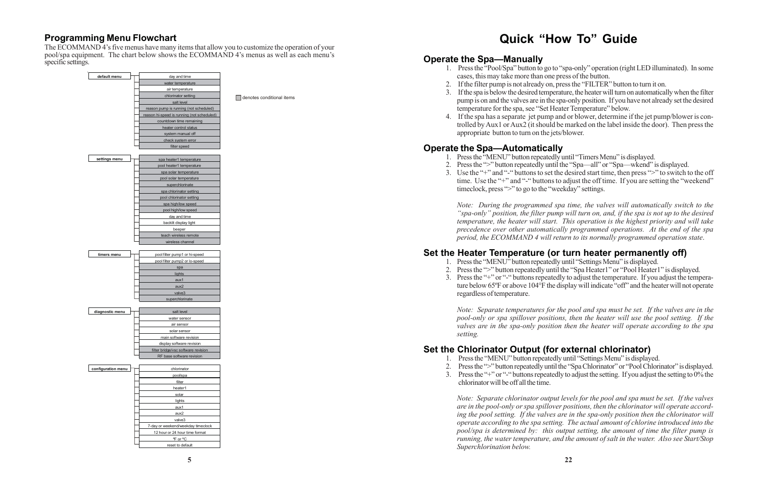## **Programming Menu Flowchart**

The ECOMMAND 4's five menus have many items that allow you to customize the operation of your pool/spa equipment. The chart below shows the ECOMMAND 4's menus as well as each menu's specific settings.

## **Quick "How To" Guide**

**Operate the Spa—Manually**

1. Press the "Pool/Spa" button to go to "spa-only" operation (right LED illuminated). In some

- 1. Press the "MENU" button repeatedly until "Timers Menu" is displayed.
- 
- timeclock, press ">" to go to the "weekday" settings.

2. Press the ">" button repeatedly until the "Spa—all" or "Spa—wkend" is displayed. 3. Use the "+" and "-" buttons to set the desired start time, then press ">" to switch to the off time. Use the "+" and "-" buttons to adjust the off time. If you are setting the "weekend"

3. If the spa is below the desired temperature, the heater will turn on automatically when the filter pump is on and the valves are in the spa-only position. If you have not already set the desired

- cases, this may take more than one press of the button.
- 2. If the filter pump is not already on, press the "FILTER" button to turn it on.
- temperature for the spa, see "Set Heater Temperature" below.
- appropriate button to turn on the jets/blower.

4. If the spa has a separate jet pump and or blower, determine if the jet pump/blower is controlled by Aux1 or Aux2 (it should be marked on the label inside the door). Then press the

## **Operate the Spa—Automatically**

*Note: During the programmed spa time, the valves will automatically switch to the "spa-only" position, the filter pump will turn on, and, if the spa is not up to the desired temperature, the heater will start. This operation is the highest priority and will take precedence over other automatically programmed operations. At the end of the spa period, the ECOMMAND 4 will return to its normally programmed operation state*.

## **Set the Heater Temperature (or turn heater permanently off)**

1. Press the "MENU" button repeatedly until "Settings Menu" is displayed.

2. Press the ">" button repeatedly until the "Spa Heater1" or "Pool Heater1" is displayed. 3. Press the "+" or "-" buttons repeatedly to adjust the temperature. If you adjust the temperature below 65ºF or above 104°F the display will indicate "off" and the heater will not operate

- 
- 
- regardless of temperature.

*Note: Separate temperatures for the pool and spa must be set. If the valves are in the pool-only or spa spillover positions, then the heater will use the pool setting. If the valves are in the spa-only position then the heater will operate according to the spa setting.*

## **Set the Chlorinator Output (for external chlorinator)**

- 1. Press the "MENU" button repeatedly until "Settings Menu" is displayed.
- 
- chlorinator will be off all the time.

2. Press the ">" button repeatedly until the "Spa Chlorinator" or "Pool Chlorinator" is displayed. 3. Press the "+" or "-" buttons repeatedly to adjust the setting. If you adjust the setting to 0% the

*Note: Separate chlorinator output levels for the pool and spa must be set. If the valves are in the pool-only or spa spillover positions, then the chlorinator will operate according the pool setting. If the valves are in the spa-only position then the chlorinator will operate according to the spa setting. The actual amount of chlorine introduced into the pool/spa is determined by: this output setting, the amount of time the filter pump is running, the water temperature, and the amount of salt in the water. Also see Start/Stop Superchlorination below.*

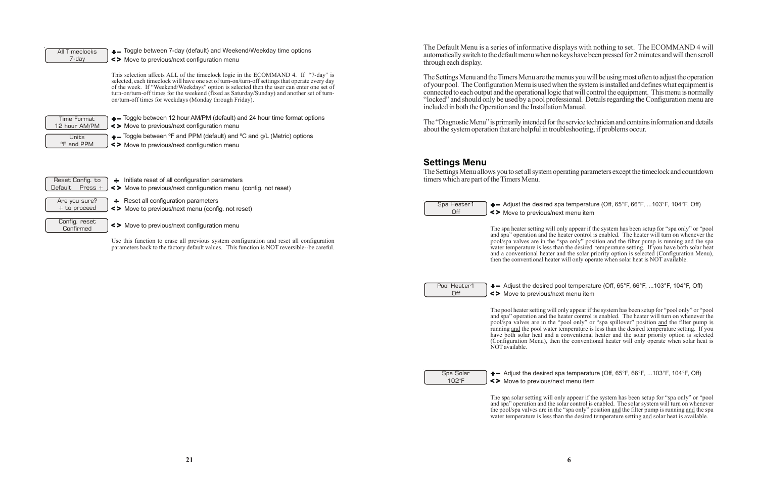y appear if the system has been setup for "spa only" or "pool ater control is enabled. The heater will turn on whenever the pool/spa valves are in the "spa only" position and the filter pump is running and the spa water temperature is less than the desired temperature setting. If you have both solar heat and a conventional heater and the solar priority option is selected (Configuration Menu), then the conventional heater will only operate when solar heat is NOT available.

 $+$  Adjust the desired spa temperature (Off, 65°F, 66°F, ...103°F, 104°F, Off) Move to previous/next menu item

The spa solar setting will only appear if the system has been setup for "spa only" or "pool and spa" operation and the solar control is enabled. The solar system will turn on whenever the pool/spa valves are in the "spa only" position and the filter pump is running and the spa water temperature is less than the desired temperature setting and solar heat is available.

Off

Pool Heater1  $\div$  Adjust the desired pool temperature (Off, 65°F, 66°F, ...103°F, 104°F, Off) Move to previous/next menu item

| The Default Menu is a series of informative disp.<br>automatically switch to the default menu when no ke<br>through each display.                                                                                                                                               |
|---------------------------------------------------------------------------------------------------------------------------------------------------------------------------------------------------------------------------------------------------------------------------------|
| The Settings Menu and the Timers Menu are the mer<br>of your pool. The Configuration Menu is used when<br>connected to each output and the operational logic the<br>"locked" and should only be used by a pool profess<br>included in both the Operation and the Installation N |
| The "Diagnostic Menu" is primarily intended for the<br>about the system operation that are helpful in trouble                                                                                                                                                                   |
| <b>Settings Menu</b><br>The Settings Menu allows you to set all system oper.<br>timers which are part of the Timers Menu.                                                                                                                                                       |
| $+$ - Adjust the desired spa<br>Spa Heater1<br>Off<br><> Move to previous/next                                                                                                                                                                                                  |
| The spa heater setting will only<br>and spa" operation and the hea<br>nool/sna valves are in the "sni                                                                                                                                                                           |
|                                                                                                                                                                                                                                                                                 |

The pool heater setting will only appear if the system has been setup for "pool only" or "pool and spa" operation and the heater control is enabled. The heater will turn on whenever the pool/spa valves are in the "pool only" or "spa spillover" position and the filter pump is running and the pool water temperature is less than the desired temperature setting. If you have both solar heat and a conventional heater and the solar priority option is selected (Configuration Menu), then the conventional heater will only operate when solar heat is NOT available.

Spa Solar 102°F

lays with nothing to set. The ECOMMAND 4 will eys have been pressed for 2 minutes and will then scroll

nus you will be using most often to adjust the operation on the system is installed and defines what equipment is hat will control the equipment. This menu is normally sional. Details regarding the Configuration menu are Manual.

service technician and contains information and details leshooting, if problems occur.

rating parameters except the timeclock and countdown

temperature (Off, 65°F, 66°F, ...103°F, 104°F, Off) menu item

Use this function to erase all previous system configuration and reset all configuration parameters back to the factory default values. This function is NOT reversible--be careful.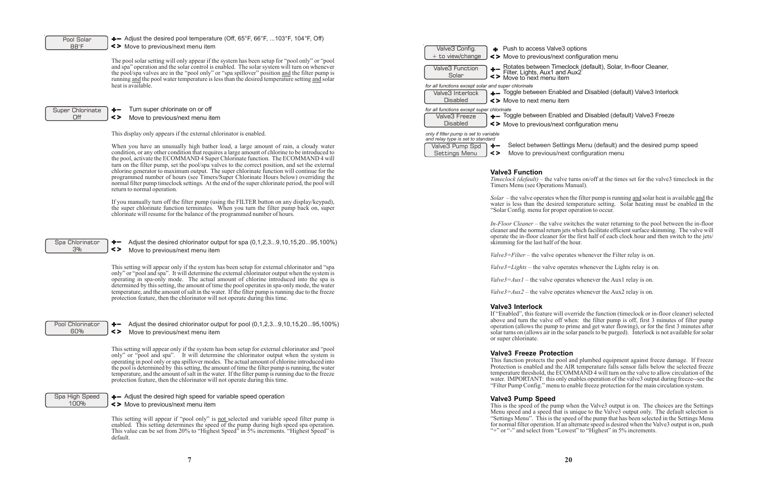lve3 options next configuration menu

Fimeclock (default), Solar, In-floor Cleaner, Lights, 2014 u item

nabled and Disabled (default) Valve3 Interlock u item

nabled and Disabled (default) Valve3 Freeze next configuration menu

Settings Menu (default) and the desired pump speed s/next configuration menu

valve turns on/off at the times set for the valve3 timeclock in the ions Manual).

*S* when the filter pump is running and solar heat is available and the sired temperature setting. Solar heating must be enabled in the roper operation to occur.

*Indeer* switches the water returning to the pool between the in-floor urn jets which facilitate efficient surface skimming. The valve will er for the first half of each clock hour and then switch to the jets/ of the hour.

operates whenever the Filter relay is on.

 $\alpha$  operates whenever the Lights relay is on.

operates whenever the Aux1 relay is on.

operates whenever the Aux2 relay is on.

will override the function (timeclock or in-floor cleaner) selected off when: the filter pump is off, first 3 minutes of filter pump np to prime and get water flowing), or for the first 3 minutes after in the solar panels to be purged). Interlock is not available for solar

### ection

This setting will appear if "pool only" is **not** selected and variable speed filter pump is enabled. This setting determines the speed of the pump during high speed spa operation. This value can be set from 20% to "Highest Speed" in 5% increments. "Highest Speed" is default.

This function protects the pool and plumbed equipment against freeze damage. If Freeze Protection is enabled and the AIR temperature falls sensor falls below the selected freeze  $t \in ECOMMAND$  4 will turn on the valve to allow circulation of the only enables operation of the valve3 output during freeze-see the mu to enable freeze protection for the main circulation system.

| Pool Solar              | $+$ - Adjust the desired pool temperature (Off, 65°F, 66°F, 103°F, 104°F, Off)                                                                                                                        |                                                                                                 |
|-------------------------|-------------------------------------------------------------------------------------------------------------------------------------------------------------------------------------------------------|-------------------------------------------------------------------------------------------------|
| $88^\circ F$            | <> Move to previous/next menu item                                                                                                                                                                    | + Push to access Val<br>Valve3 Config.                                                          |
|                         | The pool solar setting will only appear if the system has been setup for "pool only" or "pool"                                                                                                        | $+$ to view/change<br><> Move to previous/n                                                     |
|                         | and spa" operation and the solar control is enabled. The solar system will turn on whenever                                                                                                           | + Rotates between T<br>Filter, Lights, Aux1<br>Valve3 Function                                  |
|                         | the pool/spa valves are in the "pool only" or "spa spillover" position and the filter pump is                                                                                                         | Solar<br><> Move to next menu                                                                   |
|                         | running and the pool water temperature is less than the desired temperature setting and solar<br>heat is available.                                                                                   |                                                                                                 |
|                         |                                                                                                                                                                                                       | for all functions except solar and super chlorinate<br>+- Toggle between En<br>Valve3 Interlock |
|                         |                                                                                                                                                                                                       | <b>Disabled</b><br><> Move to next menu                                                         |
|                         | Turn super chlorinate on or off                                                                                                                                                                       |                                                                                                 |
| Super Chlorinate<br>Off | $+ -$<br>$\leq$<br>Move to previous/next menu item                                                                                                                                                    | for all functions except super chlorinate<br>$+$ - Toggle between En<br>Valve3 Freeze           |
|                         |                                                                                                                                                                                                       | <b>Disabled</b><br><> Move to previous/n                                                        |
|                         |                                                                                                                                                                                                       |                                                                                                 |
|                         | This display only appears if the external chlorinator is enabled.                                                                                                                                     | only if filter pump is set to variable<br>and relay type is set to standard                     |
|                         | When you have an unusually high bather load, a large amount of rain, a cloudy water                                                                                                                   | Select between S<br>Valve3 Pump Spd<br>$+ -$                                                    |
|                         | condition, or any other condition that requires a large amount of chlorine to be introduced to                                                                                                        | Settings Menu<br>$\leq$<br>Move to previous                                                     |
|                         | the pool, activate the ECOMMAND 4 Super Chlorinate function. The ECOMMAND 4 will<br>turn on the filter pump, set the pool/spa valves to the correct position, and set the external                    |                                                                                                 |
|                         | chlorine generator to maximum output. The super chlorinate function will continue for the                                                                                                             | <b>Valve3 Function</b>                                                                          |
|                         | programmed number of hours (see Timers/Super Chlorinate Hours below) overriding the                                                                                                                   | Timeclock (default) – the v                                                                     |
|                         | normal filter pump timeclock settings. At the end of the super chlorinate period, the pool will<br>return to normal operation.                                                                        | Timers Menu (see Operati                                                                        |
|                         |                                                                                                                                                                                                       | $Solar$ – the valve operates                                                                    |
|                         | If you manually turn off the filter pump (using the FILTER button on any display/keypad),                                                                                                             | water is less than the desi                                                                     |
|                         | the super chlorinate function terminates. When you turn the filter pump back on, super<br>chlorinate will resume for the balance of the programmed number of hours.                                   | "Solar Config. menu for pr                                                                      |
|                         |                                                                                                                                                                                                       | In-Floor Cleaner - the val                                                                      |
|                         |                                                                                                                                                                                                       | cleaner and the normal retu                                                                     |
|                         |                                                                                                                                                                                                       | operate the in-floor cleane                                                                     |
| Spa Chlorinator         | Adjust the desired chlorinator output for spa (0,1,2,39,10,15,2095,100%)<br>$\bullet-$                                                                                                                | skimming for the last half                                                                      |
| 3%                      | <><br>Move to previous/next menu item                                                                                                                                                                 | $Value3 = Filter - the value$                                                                   |
|                         |                                                                                                                                                                                                       |                                                                                                 |
|                         | This setting will appear only if the system has been setup for external chlorinator and "spa<br>only" or "pool and spa". It will determine the external chlorinator output when the system is         | $Valve3 = Lights$ – the valve                                                                   |
|                         | operating in spa-only mode. The actual amount of chlorine introduced into the spa is                                                                                                                  | <i>Valve3=Aux1</i> – the valve                                                                  |
|                         | determined by this setting, the amount of time the pool operates in spa-only mode, the water                                                                                                          |                                                                                                 |
|                         | temperature, and the amount of salt in the water. If the filter pump is running due to the freeze<br>protection feature, then the chlorinator will not operate during this time.                      | $Value3 = Aux2$ – the valve                                                                     |
|                         |                                                                                                                                                                                                       | <b>Valve3 Interlock</b>                                                                         |
|                         |                                                                                                                                                                                                       | If "Enabled", this feature y                                                                    |
| Pool Chlorinator        | Adjust the desired chlorinator output for pool (0,1,2,39,10,15,2095,100%)                                                                                                                             | above and turn the valve                                                                        |
| 60%                     | +-<br>$\leq$<br>Move to previous/next menu item                                                                                                                                                       | operation (allows the pum<br>solar turns on (allows air in                                      |
|                         |                                                                                                                                                                                                       | or super chlorinate.                                                                            |
|                         | This setting will appear only if the system has been setup for external chlorinator and "pool"                                                                                                        |                                                                                                 |
|                         | only" or "pool and spa". It will determine the chlorinator output when the system is                                                                                                                  | <b>Valve3 Freeze Prote</b>                                                                      |
|                         | operating in pool only or spa spillover modes. The actual amount of chlorine introduced into                                                                                                          | This function protects the<br>Protection is enabled and                                         |
|                         | the pool is determined by this setting, the amount of time the filter pump is running, the water<br>temperature, and the amount of salt in the water. If the filter pump is running due to the freeze | temperature threshold, the                                                                      |
|                         | protection feature, then the chlorinator will not operate during this time.                                                                                                                           | water. IMPORTANT: this                                                                          |
|                         |                                                                                                                                                                                                       | "Filter Pump Config." mer                                                                       |
| Spa High Speed          | $\leftarrow$ Adjust the desired high speed for variable speed operation                                                                                                                               | <b>Valve3 Pump Speed</b>                                                                        |
| 100%                    | <> Move to previous/next menu item                                                                                                                                                                    | This is the speed of the pu                                                                     |
|                         |                                                                                                                                                                                                       | Menu speed and a speed t                                                                        |

This is the speed of the pump when the Valve3 output is on. The choices are the Settings Menu speed and a speed that is unique to the Valve3 output only. The default selection is "Settings Menu". This is the speed of the pump that has been selected in the Settings Menu for normal filter operation. If an alternate speed is desired when the Valve3 output is on, push "+" or "-" and select from "Lowest" to "Highest" in 5% increments.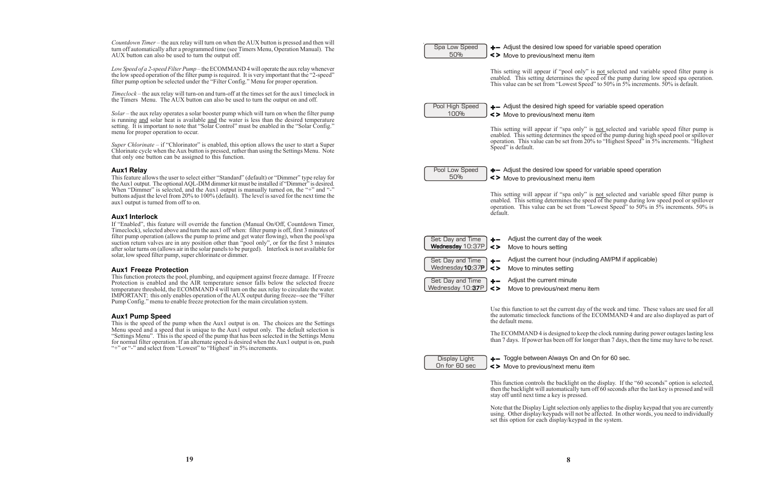This function controls the backlight on the display. If the "60 seconds" option is selected, then the backlight will automatically turn off 60 seconds after the last key is pressed and will ssed.

In only applies to the display keypad that you are currently not be affected. In other words, you need to individually set this option for each display/keypad in the system.

**19**

| Countdown Timer – the aux relay will turn on when the AUX button is pressed and then will<br>turn off automatically after a programmed time (see Timers Menu, Operation Manual). The<br>AUX button can also be used to turn the output off.                                                                                                                                                                                                                 | Spa Low Speed<br>+- Adjust the desired low spee<br>50%<br><> Move to previous/next men                                                |
|-------------------------------------------------------------------------------------------------------------------------------------------------------------------------------------------------------------------------------------------------------------------------------------------------------------------------------------------------------------------------------------------------------------------------------------------------------------|---------------------------------------------------------------------------------------------------------------------------------------|
| Low Speed of a 2-speed Filter Pump – the ECOMMAND 4 will operate the aux relay whenever<br>the low speed operation of the filter pump is required. It is very important that the "2-speed"<br>filter pump option be selected under the "Filter Config." Menu for proper operation.                                                                                                                                                                          | This setting will appear if "pool of<br>enabled. This setting determines the<br>This value can be set from "Lowest"                   |
| Timeclock – the aux relay will turn-on and turn-off at the times set for the aux1 timeclock in<br>the Timers Menu. The AUX button can also be used to turn the output on and off.                                                                                                                                                                                                                                                                           | Pool High Speed<br>$+$ - Adjust the desired high spe                                                                                  |
| Solar – the aux relay operates a solar booster pump which will turn on when the filter pump<br>is running and solar heat is available and the water is less than the desired temperature<br>setting. It is important to note that "Solar Control" must be enabled in the "Solar Config."                                                                                                                                                                    | 100%<br><> Move to previous/next men                                                                                                  |
| menu for proper operation to occur.                                                                                                                                                                                                                                                                                                                                                                                                                         | This setting will appear if "spa or<br>enabled. This setting determines the<br>operation. This value can be set from                  |
| Super Chlorinate – if "Chlorinator" is enabled, this option allows the user to start a Super<br>Chlorinate cycle when the Aux button is pressed, rather than using the Settings Menu. Note<br>that only one button can be assigned to this function.                                                                                                                                                                                                        | Speed" is default.                                                                                                                    |
| <b>Aux1 Relay</b><br>This feature allows the user to select either "Standard" (default) or "Dimmer" type relay for                                                                                                                                                                                                                                                                                                                                          | Pool Low Speed<br>+- Adjust the desired low spee<br>50%<br><> Move to previous/next men                                               |
| the Aux1 output. The optional AQL-DIM dimmer kit must be installed if "Dimmer" is desired.<br>When "Dimmer" is selected, and the Aux1 output is manually turned on, the "+" and "-"<br>buttons adjust the level from 20% to 100% (default). The level is saved for the next time the<br>aux1 output is turned from off to on.                                                                                                                               | This setting will appear if "spa or<br>enabled. This setting determines the<br>operation. This value can be set from                  |
| <b>Aux1 Interlock</b><br>If "Enabled", this feature will override the function (Manual On/Off, Countdown Timer,                                                                                                                                                                                                                                                                                                                                             | default.                                                                                                                              |
| Timeclock), selected above and turn the aux1 off when: filter pump is off, first 3 minutes of<br>filter pump operation (allows the pump to prime and get water flowing), when the pool/spa<br>suction return valves are in any position other than "pool only", or for the first 3 minutes<br>after solar turns on (allows air in the solar panels to be purged). Interlock is not available for                                                            | Adjust the current day of t<br>Set Day and Time<br>$+ -$<br>Wednesday 10:37P<br>$\left\langle \right\rangle$<br>Move to hours setting |
| solar, low speed filter pump, super chlorinate or dimmer.<br><b>Aux1 Freeze Protection</b>                                                                                                                                                                                                                                                                                                                                                                  | Adjust the current hour (in<br>Set Day and Time<br>$+ -$<br>Wednesday 10:37P<br>$\leq$<br>Move to minutes setting                     |
| This function protects the pool, plumbing, and equipment against freeze damage. If Freeze<br>Protection is enabled and the AIR temperature sensor falls below the selected freeze<br>temperature threshold, the ECOMMAND 4 will turn on the aux relay to circulate the water.<br>IMPORTANT: this only enables operation of the AUX output during freeze-see the "Filter"<br>Pump Config." menu to enable freeze protection for the main circulation system. | Adjust the current minute<br>Set Day and Time<br>$+ -$<br>Wednesday 10:37P<br>$\leq$<br>Move to previous/next me                      |
| <b>Aux1 Pump Speed</b><br>This is the speed of the pump when the Aux1 output is on. The choices are the Settings                                                                                                                                                                                                                                                                                                                                            | Use this function to set the current of<br>the automatic timeclock functions of<br>the default menu.                                  |
| Menu speed and a speed that is unique to the Aux1 output only. The default selection is<br>"Settings Menu". This is the speed of the pump that has been selected in the Settings Menu<br>for normal filter operation. If an alternate speed is desired when the Aux1 output is on, push<br>"+" or "-" and select from "Lowest" to "Highest" in 5% increments.                                                                                               | The ECOMMAND 4 is designed to 1<br>than 7 days. If power has been off for                                                             |
|                                                                                                                                                                                                                                                                                                                                                                                                                                                             | +- Toggle between Always On<br>Display Light<br>On for 60 sec<br><> Move to previous/next ment                                        |
|                                                                                                                                                                                                                                                                                                                                                                                                                                                             | This function controls the backlight<br>then the backlight will automatically<br>stay off until next time a key is press              |
|                                                                                                                                                                                                                                                                                                                                                                                                                                                             | Note that the Display Light selection<br>using. Other display/keypads will n                                                          |

### ed for variable speed operation nu item

only" is not selected and variable speed filter pump is the speed of the pump during low speed spa operation. t Speed" to 50% in 5% increments.  $50\%$  is default.

### eed for variable speed operation nu item

only" is not selected and variable speed filter pump is he speed of the pump during high speed pool or spillover om 20% to "Highest Speed" in 5% increments. "Highest

### ed for variable speed operation nu item

only" is not selected and variable speed filter pump is he speed of the pump during low speed pool or spillover from "Lowest Speed" to 50% in  $5\%$  increments. 50% is

- the week
- 
- ncluding AM/PM if applicable)
- 
- 
- enu item

day of the week and time. These values are used for all of the ECOMMAND 4 and are also displayed as part of

Reep the clock running during power outages lasting less for longer than 7 days, then the time may have to be reset.

and On for 60 sec.

nu item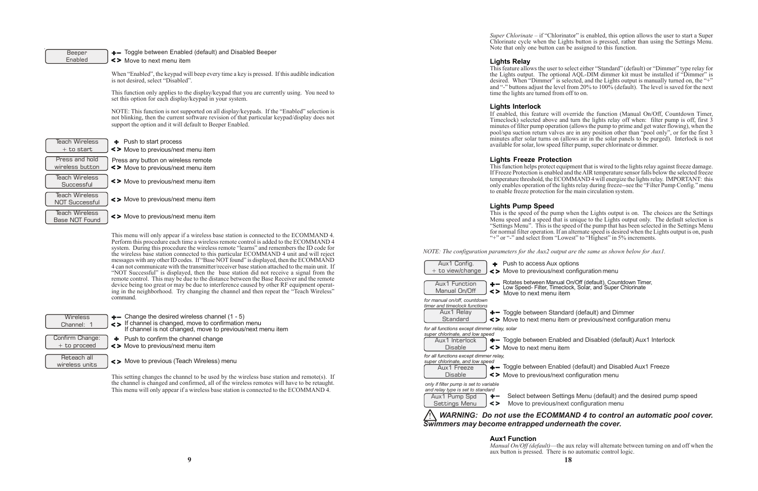options ext configuration menu

item nual On/Off (default), Countdown Timer,<br>neclock, Solar, and Super Chlorinate

andard (default) and Dimmer item or previous/next configuration menu

abled and Disabled (default) Aux1 Interlock item

abled (default) and Disabled Aux1 Freeze ext configuration menu

ettings Menu (default) and the desired pump speed /next configuration menu

### Beeper Enabled

+- Toggle between Enabled (default) and Disabled Beeper

Move to next menu item

When "Enabled", the keypad will beep every time a key is pressed. If this audible indication is not desired, select "Disabled".

NOTE: This function is not supported on all display/keypads. If the "Enabled" selection is not blinking, then the current software revision of that particular keypad/display does not support the option and it will default to Beeper Enabled.

This function only applies to the display/keypad that you are currently using. You need to set this option for each display/keypad in your system.

| <b>Teach Wireless</b><br>$+$ to start          | + Push to start process<br><> Move to previous/next menu item             |
|------------------------------------------------|---------------------------------------------------------------------------|
| Press and hold<br>wireless button              | Press any button on wireless remote<br><> Move to previous/next menu item |
| Teach Wireless<br>Successful                   | <> Move to previous/next menu item                                        |
| <b>Teach Wireless</b><br><b>NOT Successful</b> | <> Move to previous/next menu item                                        |
| Teach Wireless<br>Base NOT Found               | <> Move to previous/next menu item                                        |

**Wireless** Channel: 1

*Super Chlorinate* – if "Chlorinator" is enabled, this option allows the user to start a Super Chlorinate cycle when the Lights button is pressed, rather than using the Settings Menu. Note that only one button can be assigned to this function.

This menu will only appear if a wireless base station is connected to the ECOMMAND 4. Perform this procedure each time a wireless remote control is added to the ECOMMAND 4 system. During this procedure the wireless remote "learns" and remembers the ID code for the wireless base station connected to this particular ECOMMAND 4 unit and will reject messages with any other ID codes. If "Base NOT found" is displayed, then the ECOMMAND 4 can not communicate with the transmitter/receiver base station attached to the main unit. If "NOT Successful" is displayed, then the base station did not receive a signal from the remote control. This may be due to the distance between the Base Receiver and the remote device being too great or may be due to interference caused by other RF equipment operating in the neighborhood. Try changing the channel and then repeat the "Teach Wireless" command.

Reteach all wireless units  $\div$  Push to confirm the channel change

 $\leftarrow$  Change the desired wireless channel (1 - 5)

- If channel is changed, move to confirmation menu If channel is not changed, move to previous/next menu item
- Confirm Change: + to proceed
- Move to previous/next menu item
- Move to previous (Teach Wireless) menu

This setting changes the channel to be used by the wireless base station and remote(s). If the channel is changed and confirmed, all of the wireless remotes will have to be retaught. This menu will only appear if a wireless base station is connected to the ECOMMAND 4.

### **Lights Relay**

This feature allows the user to select either "Standard" (default) or "Dimmer" type relay for the Lights output. The optional AQL-DIM dimmer kit must be installed if "Dimmer" is desired. When "Dimmer" is selected, and the Lights output is manually turned on, the "+" and "-" buttons adjust the level from 20% to 100% (default). The level is saved for the next time the lights are turned from off to on.

### **Lights Interlock**

If enabled, this feature will override the function (Manual On/Off, Countdown Timer, Timeclock) selected above and turn the lights relay off when: filter pump is off, first 3 minutes of filter pump operation (allows the pump to prime and get water flowing), when the pool/spa suction return valves are in any position other than "pool only", or for the first 3 minutes after solar turns on (allows air in the solar panels to be purged). Interlock is not available for solar, low speed filter pump, super chlorinate or dimmer.

### **Lights Freeze Protection**

This function helps protect equipment that is wired to the lights relay against freeze damage. If Freeze Protection is enabled and the AIR temperature sensor falls below the selected freeze temperature threshold, the ECOMMAND 4 will energize the lights relay. IMPORTANT: this only enables operation of the lights relay during freeze--see the "Filter Pump Config." menu to enable freeze protection for the main circulation system.

### **Lights Pump Speed**

This is the speed of the pump when the Lights output is on. The choices are the Settings Menu speed and a speed that is unique to the Lights output only. The default selection is "Settings Menu". This is the speed of the pump that has been selected in the Settings Menu for normal filter operation. If an alternate speed is desired when the Lights output is on, push "+" or "-" and select from "Lowest" to "Highest" in 5% increments.

*NOTE: The configuration parameters for the Aux2 output are the same as shown below for Aux1.*

|    | Push to access Aux<br><> Move to previous/no                                                                                                                                                                                                                 |
|----|--------------------------------------------------------------------------------------------------------------------------------------------------------------------------------------------------------------------------------------------------------------|
| <> | Rotates between Man<br>Low Speed- Filter, Tim<br>Move to next menu                                                                                                                                                                                           |
|    | $+$ Toggle between Sta<br><> Move to next menu                                                                                                                                                                                                               |
|    | for all functions except dimmer relay, solar<br>+- Toggle between Ena<br><> Move to next menu                                                                                                                                                                |
|    | +- Toggle between Ena<br><> Move to previous/ne                                                                                                                                                                                                              |
| <> | Select between S<br>Move to previous/                                                                                                                                                                                                                        |
|    | <b>WARNING: Do not use the ECOM</b><br>Swimmers may become entrapped und                                                                                                                                                                                     |
|    | for manual on/off, countdown<br>timer and timeclock functions<br>super chlorinate, and low speed<br>for all functions except dimmer relay.<br>super chlorinate, and low speed<br>only if filter pump is set to variable<br>and relay type is set to standard |

### ! *WARNING: Do not use the ECOMMAND 4 to control an automatic pool cover. Swimmers may become entrapped underneath the cover.*

# **Aux1 Function**

*Manual On/Off (default)*—the aux relay will alternate between turning on and off when the aux button is pressed. There is no automatic control logic.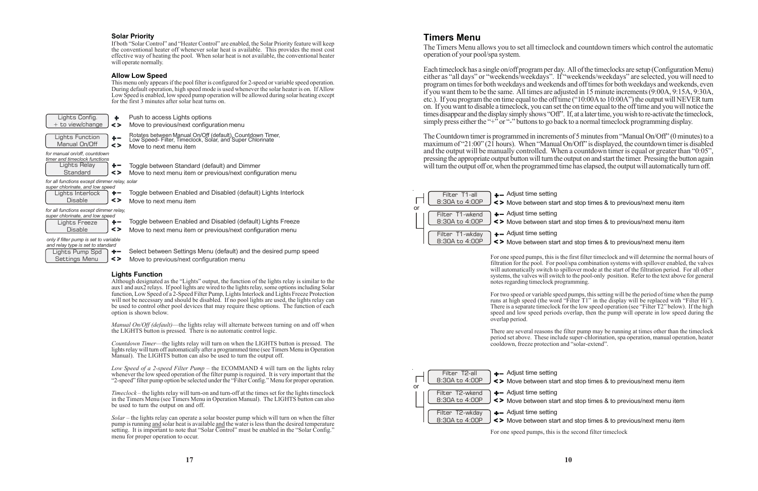## **Timers Menu**

Each timeclock has a single on/off program per day. All of the timeclocks are setup (Configuration Menu) either as "all days" or "weekends/weekdays". If "weekends/weekdays" are selected, you will need to program on times for both weekdays and weekends and off times for both weekdays and weekends, even if you want them to be the same. All times are adjusted in 15 minute increments (9:00A, 9:15A, 9:30A, etc.). If you program the on time equal to the off time ("10:00A to 10:00A") the output will NEVER turn on. If you want to disable a timeclock, you can set the on time equal to the off time and you will notice the times disappear and the display simply shows "Off". If, at a later time, you wish to re-activate the timeclock, simply press either the "+ $\overline{r}$ " or "-" buttons to go back to a normal timeclock programming display.

The Timers Menu allows you to set all timeclock and countdown timers which control the automatic operation of your pool/spa system.

The Countdown timer is programmed in increments of 5 minutes from "Manual On/Off" (0 minutes) to a maximum of "21:00" (21 hours). When "Manual On/Off" is displayed, the countdown timer is disabled and the output will be manually controlled. When a countdown timer is equal or greater than "0:05", pressing the appropriate output button will turn the output on and start the timer. Pressing the button again will turn the output off or, when the programmed time has elapsed, the output will automatically turn off.

> For one speed pumps, this is the first filter timeclock and will determine the normal hours of filtration for the pool. For pool/spa combination systems with spillover enabled, the valves will automatically switch to spillover mode at the start of the filtration period. For all other systems, the valves will switch to the pool-only position. Refer to the text above for general notes regarding timeclock programming.

> For two speed or variable speed pumps, this setting will be the period of time when the pump runs at high speed (the word "Filter T1" in the display will be replaced with "Filter Hi"). There is a separate timeclock for the low speed operation (see "Filter T2" below). If the high speed and low speed periods overlap, then the pump will operate in low speed during the overlap period.

> There are several reasons the filter pump may be running at times other than the timeclock period set above. These include super-chlorination, spa operation, manual operation, heater cooldown, freeze protection and "solar-extend".

*f or all functions except dimmer relay,* super chlo

For one speed pumps, this is the second filter timeclock

Move between start and stop times & to previous/next menu item



Move between start and stop times & to previous/next menu item

Move between start and stop times & to previous/next menu item

Move between start and stop times & to previous/next menu item



Move between start and stop times & to previous/next menu item

Move between start and stop times & to previous/next menu item

### **Solar Priority**

If both "Solar Control" and "Heater Control" are enabled, the Solar Priority feature will keep the conventional heater off whenever solar heat is available. This provides the most cost effective way of heating the pool. When solar heat is not available, the conventional heater will operate normally.

### **Allow Low Speed**

This menu only appears if the pool filter is configured for 2-speed or variable speed operation. During default operation, high speed mode is used whenever the solar heater is on. If Allow Low Speed is enabled, low speed pump operation will be allowed during solar heating except for the first 3 minutes after solar heat turns on.

| Lights Pump Spd |       |
|-----------------|-------|
| Settings Menu   | 1 < > |

Select between Settings Menu (default) and the desired pump speed Move to previous/next configuration menu

*only if filter pump is set to variable and relay type is set to standard*

| Lights Config.         | ÷  |
|------------------------|----|
| + to view/change       | <> |
|                        |    |
| <b>Lights Function</b> |    |

| Lights Relay |    |
|--------------|----|
| Standard     | <> |

Push to access Lights options

Rotates between Manual On/Off (default), Countdown Timer, Low Speed- Filter, Timeclock, Solar, and Super Chlorinate Move to next menu item

Toggle between Standard (default) and Dimmer

Move to previous/next configuration menu

Move to next menu item or previous/next configuration menu

| ci cinomiale, and iow speca |    |
|-----------------------------|----|
| Lights Freeze               |    |
| <b>Disable</b>              | <> |

| Manual On/Off                | J <> |  |
|------------------------------|------|--|
| for manual on/off, countdown |      |  |

| <u>_</u><br>⊢<br>. . |  |
|----------------------|--|
|                      |  |

Toggle between Enabled and Disabled (default) Lights Interlock Move to next menu item

| super chlorinate, and low speed |       |  |
|---------------------------------|-------|--|
| Lights Interlock                | $+ -$ |  |
| <b>Disable</b>                  | ∣ < > |  |

Toggle between Enabled and Disabled (default) Lights Freeze Move to next menu item or previous/next configuration menu

*f or all functions except dimmer relay, solar*

*timer and timeclock functions*

### **Lights Function**

Although designated as the "Lights" output, the function of the lights relay is similar to the aux1 and aux2 relays. If pool lights are wired to the lights relay, some options including Solar function, Low Speed of a 2-Speed Filter Pump, Lights Interlock and Lights Freeze Protection will not be necessary and should be disabled. If no pool lights are used, the lights relay can be used to control other pool devices that may require these options. The function of each option is shown below.

*Manual On/Off (default)*—the lights relay will alternate between turning on and off when the LIGHTS button is pressed. There is no automatic control logic.

*Countdown Timer*—the lights relay will turn on when the LIGHTS button is pressed. The lights relay will turn off automatically after a programmed time (see Timers Menu in Operation Manual). The LIGHTS button can also be used to turn the output off.

*Low Speed of a 2-speed Filter Pump* – the ECOMMAND 4 will turn on the lights relay whenever the low speed operation of the filter pump is required. It is very important that the "2-speed" filter pump option be selected under the "Filter Config." Menu for proper operation.

*Timeclock* – the lights relay will turn-on and turn-off at the times set for the lights timeclock in the Timers Menu (see Timers Menu in Operation Manual). The LIGHTS button can also be used to turn the output on and off.

*Solar* – the lights relay can operate a solar booster pump which will turn on when the filter pump is running and solar heat is available and the water is less than the desired temperature setting. It is important to note that "Solar Control" must be enabled in the "Solar Config." menu for proper operation to occur.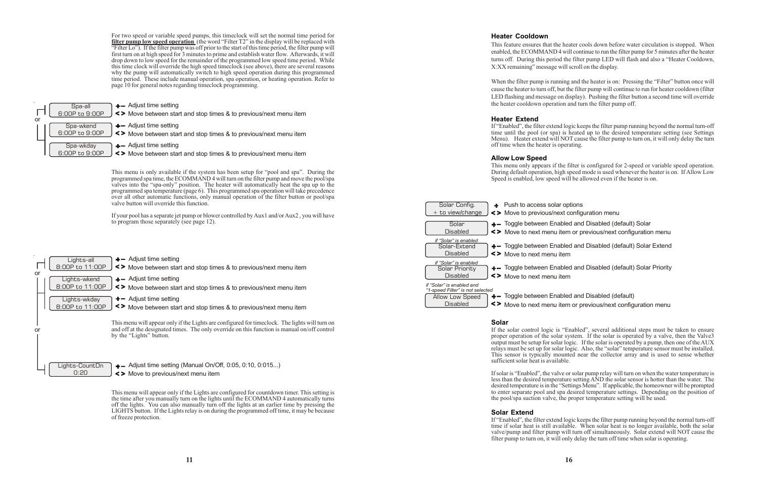lar options next configuration menu

abled and Disabled (default) Solar item or previous/next configuration menu

abled and Disabled (default) Solar Extend item

abled and Disabled (default) Solar Priority item

abled and Disabled (default) iu item or previous/next configuration menu

For two speed or variable speed pumps, this timeclock will set the normal time period for **filter pump low speed operation** (the word "Filter T2" in the display will be replaced with "Filter Lo"). If the filter pump was off prior to the start of this time period, the filter pump will first turn on at high speed for 3 minutes to prime and establish water flow. Afterwards, it will drop down to low speed for the remainder of the programmed low speed time period. While this time clock will override the high speed timeclock (see above), there are several reasons why the pump will automatically switch to high speed operation during this programmed time period. These include manual operation, spa operation, or heating operation. Refer to page 10 for general notes regarding timeclock programming.

This menu is only available if the system has been setup for "pool and spa". During the programmed spa time, the ECOMMAND 4 will turn on the filter pump and move the pool/spa valves into the "spa-only" position. The heater will automatically heat the spa up to the programmed spa temperature (page 6). This programmed spa operation will take precedence over all other automatic functions, only manual operation of the filter button or pool/spa valve button will override this function.

If your pool has a separate jet pump or blower controlled by Aux1 and/or Aux2 , you will have to program those separately (see page 12).

This menu will appear only if the Lights are configured for countdown timer. This setting is the time after you manually turn on the lights until the ECOMMAND 4 automatically turns off the lights. You can also manually turn off the lights at an earlier time by pressing the LIGHTS button. If the Lights relay is on during the programmed off time, it may be because of freeze protection.

Move between start and stop times & to previous/next menu item

 $+$  Adjust time setting

| or | Lights-all<br>8:00P to 11:00P   | $\leftarrow$ Adjust time setting<br><> Move between start and stop times & to previous/next menu item                                                                                                                     |
|----|---------------------------------|---------------------------------------------------------------------------------------------------------------------------------------------------------------------------------------------------------------------------|
|    | Lights-wkend<br>8:00P to 11:00P | $+-$ Adjust time setting<br><> Move between start and stop times & to previous/next menu item                                                                                                                             |
|    | Lights-wkday<br>8:00P to 11:00P | $+$ - Adjust time setting<br><> Move between start and stop times & to previous/next menu item                                                                                                                            |
| or |                                 | This menu will appear only if the Lights are configured for timeclock. The lights will turn on<br>and off at the designated times. The only override on this function is manual on/off control<br>by the "Lights" button. |
|    | Lights-CountDn<br>0:20          | $\leftarrow$ Adjust time setting (Manual On/Off, 0:05, 0:10, 0:015)<br><> Move to previous/next menu item                                                                                                                 |



 $+-$  Adjust time setting

Move between start and stop times & to previous/next menu item

 $+$  - Adjust time setting

 $\leq$  Move between start and stop times & to previous/next menu item

### **Heater Cooldown**

This feature ensures that the heater cools down before water circulation is stopped. When enabled, the ECOMMAND 4 will continue to run the filter pump for 5 minutes after the heater turns off. During this period the filter pump LED will flash and also a "Heater Cooldown, X:XX remaining" message will scroll on the display.

When the filter pump is running and the heater is on: Pressing the "Filter" button once will cause the heater to turn off, but the filter pump will continue to run for heater cooldown (filter LED flashing and message on display). Pushing the filter button a second time will override the heater cooldown operation and turn the filter pump off.

### **Heater Extend**

If "Enabled", the filter extend logic keeps the filter pump running beyond the normal turn-off time until the pool (or spa) is heated up to the desired temperature setting (see Settings Menu). Heater extend will NOT cause the filter pump to turn on, it will only delay the turn off time when the heater is operating.

### **Allow Low Speed**

This menu only appears if the filter is configured for 2-speed or variable speed operation. During default operation, high speed mode is used whenever the heater is on. If Allow Low Speed is enabled, low speed will be allowed even if the heater is on.

| Solar Config.<br>+ to view/change                                                                   | $+$ $-$ | Push to access sola<br><> Move to previous/n |
|-----------------------------------------------------------------------------------------------------|---------|----------------------------------------------|
| Solar<br>Disabled                                                                                   |         | +- Toggle between En<br><> Move to next menu |
| if "Solar" is enabled<br>Solar-Extend<br>Disabled                                                   |         | +- Toggle between En<br><> Move to next menu |
| if "Solar" is enabled<br>Solar Priority<br>Disabled                                                 |         | +- Toggle between En<br><> Move to next menu |
| if "Solar" is enabled and<br>"1-speed Filter" is not selected<br>Allow Low Speed<br><b>Disabled</b> |         | +- Toggle between En<br><> Move to next menu |

### **Solar**

If the solar control logic is "Enabled", several additional steps must be taken to ensure proper operation of the solar system. If the solar is operated by a valve, then the Valve3 output must be setup for solar logic. If the solar is operated by a pump, then one of the AUX relays must be set up for solar logic. Also, the "solar" temperature sensor must be installed. This sensor is typically mounted near the collector array and is used to sense whether sufficient solar heat is available.

If solar is "Enabled", the valve or solar pump relay will turn on when the water temperature is less than the desired temperature setting AND the solar sensor is hotter than the water. The desired temperature is in the "Settings Menu". If applicable, the homeowner will be prompted to enter separate pool and spa desired temperature settings. Depending on the position of the pool/spa suction valve, the proper temperature setting will be used.

### **Solar Extend**

If "Enabled", the filter extend logic keeps the filter pump running beyond the normal turn-off time if solar heat is still available. When solar heat is no longer available, both the solar valve/pump and filter pump will turn off simultaneously. Solar extend will NOT cause the filter pump to turn on, it will only delay the turn off time when solar is operating.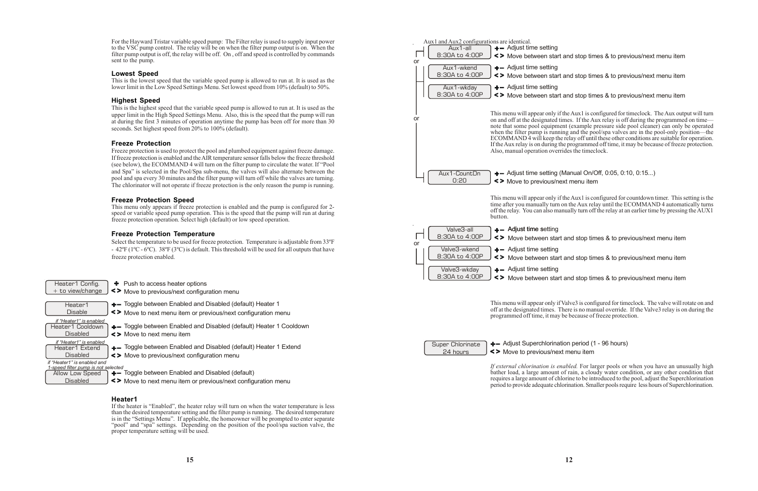This menu will appear only if the Aux1 is configured for timeclock. The Aux output will turn on and off at the designated times. If the Aux relay is off during the programmed on time note that some pool equipment (example pressure side pool cleaner) can only be operated when the filter pump is running and the pool/spa valves are in the pool-only position—the ECOMMAND 4 will keep the relay off until these other conditions are suitable for operation. If the Aux relay is on during the programmed off time, it may be because of freeze protection.

 $+-$  Adjust time setting (Manual On/Off, 0:05, 0:10, 0:15...)

This menu will appear only if the Aux1 is configured for countdown timer. This setting is the time after you manually turn on the Aux relay until the ECOMMAND 4 automatically turns off the relay. You can also manually turn off the relay at an earlier time by pressing the AUX1

This menu will appear only if Valve3 is configured for timeclock. The valve will rotate on and off at the designated times. There is no manual override. If the Valve3 relay is on during the programmed off time, it may be because of freeze protection.



24 hours



# Adjust Superchlorination period (1 - 96 hours)

Move to previous/next menu item

*If external chlorination is enabled.* For larger pools or when you have an unusually high bather load, a large amount of rain, a cloudy water condition, or any other condition that requires a large amount of chlorine to be introduced to the pool, adjust the Superchlorination period to provide adequate chlorination. Smaller pools require less hours of Superchlorination.

Move between start and stop times & to previous/next menu item

Move between start and stop times & to previous/next menu item

Move between start and stop times & to previous/next menu item

or

or

Move between start and stop times & to previous/next menu item

### Heater1 Config.  $+$  to view/change

- + Push to access heater options
- Move to previous/next configuration menu
- Heater1 Disable Heater1 Cooldown *if "Heater1" is enabled*
- **Disabled** Heater1 Extend *if "Heater1" is enabled*
- **Disabled**
- *if "Heater1" is enabled and 1-speed filter pump is not selected*
- Allow Low Speed
	- **Disabled**

Move between start and stop times & to previous/next menu item

- 
- **+** Toggle between Enabled and Disabled (default) Heater 1
- Move to next menu item or previous/next configuration menu
- +- Toggle between Enabled and Disabled (default) Heater 1 Cooldown
- Move to next menu item
- +- Toggle between Enabled and Disabled (default) Heater 1 Extend
- Move to previous/next configuration menu

**+** Toggle between Enabled and Disabled (default)

Move between start and stop times & to previous/next menu item

or

For the Hayward Tristar variable speed pump: The Filter relay is used to supply input power to the VSC pump control. The relay will be on when the filter pump output is on. When the filter pump output is off, the relay will be off. On , off and speed is controlled by commands sent to the pump.

### **Lowest Speed**

This is the lowest speed that the variable speed pump is allowed to run at. It is used as the lower limit in the Low Speed Settings Menu. Set lowest speed from 10% (default) to 50%.

### **Highest Speed**

This is the highest speed that the variable speed pump is allowed to run at. It is used as the upper limit in the High Speed Settings Menu. Also, this is the speed that the pump will run at during the first 3 minutes of operation anytime the pump has been off for more than 30 seconds. Set highest speed from 20% to 100% (default).

### **Freeze Protection**

Freeze protection is used to protect the pool and plumbed equipment against freeze damage. If freeze protection is enabled and the AIR temperature sensor falls below the freeze threshold (see below), the ECOMMAND 4 will turn on the filter pump to circulate the water. If "Pool and Spa" is selected in the Pool/Spa sub-menu, the valves will also alternate between the pool and spa every 30 minutes and the filter pump will turn off while the valves are turning. The chlorinator will not operate if freeze protection is the only reason the pump is running.

### **Freeze Protection Speed**

This menu only appears if freeze protection is enabled and the pump is configured for 2 speed or variable speed pump operation. This is the speed that the pump will run at during freeze protection operation. Select high (default) or low speed operation.

### **Freeze Protection Temperature**

Select the temperature to be used for freeze protection. Temperature is adjustable from 33ºF - 42ºF (1ºC - 6ºC). 38ºF (3ºC) is default. This threshold will be used for all outputs that have freeze protection enabled.

Move to next menu item or previous/next configuration menu

### **Heater1**

If the heater is "Enabled", the heater relay will turn on when the water temperature is less than the desired temperature setting and the filter pump is running. The desired temperature is in the "Settings Menu". If applicable, the homeowner will be prompted to enter separate "pool" and "spa" settings. Depending on the position of the pool/spa suction valve, the proper temperature setting will be used.